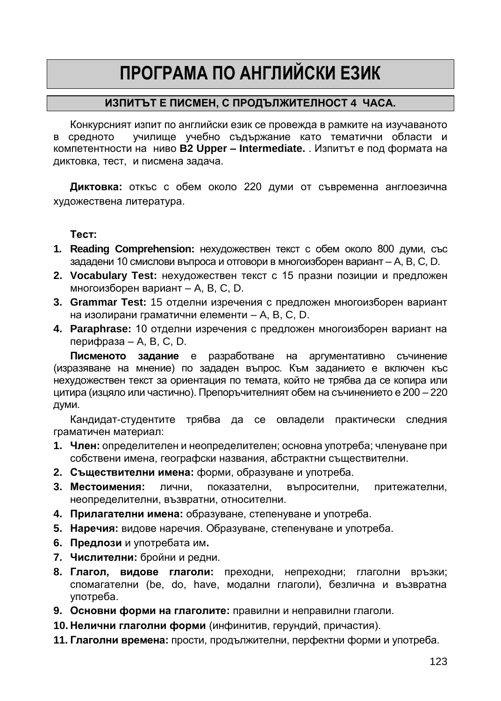# **ПРОГРАМА ПО АНГЛИЙСКИ ЕЗИК**

## **ИЗПИТЪТ Е ПИСМЕН, С ПРОДЪЛЖИТЕЛНОСТ 4 ЧАСА.**

Конкурсният изпит по английски език се провежда в рамките на изучаваното в средното училище учебно съдържание като тематични области и компетентности на ниво **B2 Upper – Intermediate.** . Изпитът е под формата на диктовка, тест, и писмена задача.

**Диктовка:** откъс с обем около 220 думи от съвременна англоезична художествена литература.

**Тест:**

- **1. Reading Comprehension:** нехудожествен текст с обем около 800 думи, със зададени 10 смислови въпроса и отговори в многоизборен вариант – A, B, C, D.
- **2. Vocabulary Test:** нехудожествен текст с 15 празни позиции и предложен многоизборен вариант – A, B, C, D.
- **3. Grammar Test:** 15 отделни изречения с предложен многоизборен вариант на изолирани граматични елементи – A, B, C, D.
- **4. Paraphrase:** 10 отделни изречения с предложен многоизборен вариант на перифраза – A, B, C, D.

**Писменото задание** е разработване на аргументативно съчинение (изразяване на мнение) по зададен въпрос. Към заданието е включен къс нехудожествен текст за ориентация по темата, който не трябва да се копира или цитира (изцяло или частично). Препоръчителният обем на съчинението е 200 – 220 думи.

Кандидат-студентите трябва да се овладели практически следния граматичен материал:

- **1. Член:** определителен и неопределителен; основна употреба; членуване при собствени имена, географски названия, абстрактни съществителни.
- **2. Съществителни имена:** форми, образуване и употреба.
- **3. Местоимения:** лични, показателни, въпросителни, притежателни, неопределителни, възвратни, относителни.
- **4. Прилагателни имена:** образуване, степенуване и употреба.
- **5. Наречия:** видове наречия. Образуване, степенуване и употреба.
- **6. Предлози** и употребата им**.**
- **7. Числителни:** бройни и редни.
- **8. Глагол, видове глаголи:** преходни, непреходни; глаголни връзки; спомагателни (be, do, have, модални глаголи), безлична и възвратна употреба.
- **9. Основни форми на глаголите:** правилни и неправилни глаголи.
- **10. Нелични глаголни форми** (инфинитив, герундий, причастия).
- **11. Глаголни времена:** прости, продължителни, перфектни форми и употреба.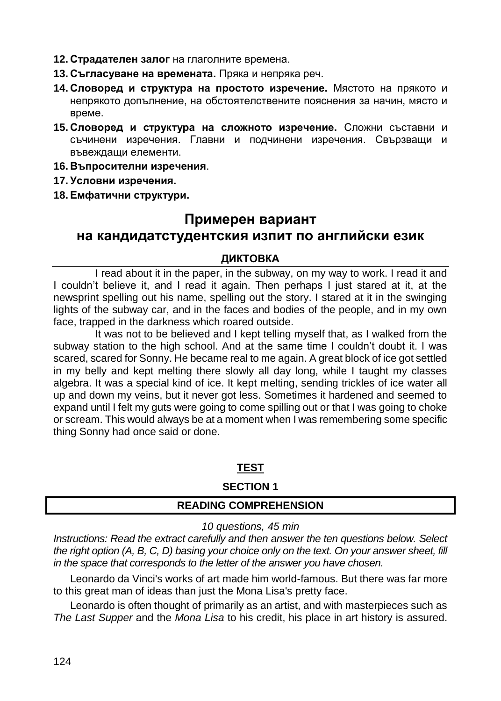- **12. Страдателен залог** на глаголните времена.
- **13. Съгласуване на времената.** Пряка и непряка реч.
- **14. Словоред и структура на простото изречение.** Мястото на прякото и непрякото допълнение, на обстоятелствените пояснения за начин, място и време.
- **15. Словоред и структура на сложното изречение.** Сложни съставни и съчинени изречения. Главни и подчинени изречения. Свързващи и въвеждащи елементи.
- **16. Въпросителни изречения**.
- **17. Условни изречения.**
- **18. Емфатични структури.**

## **Примерен вариант на кандидатстудентския изпит по английски език**

#### **ДИКТОВКА**

I read about it in the paper, in the subway, on my way to work. I read it and I couldn't believe it, and I read it again. Then perhaps I just stared at it, at the newsprint spelling out his name, spelling out the story. I stared at it in the swinging lights of the subway car, and in the faces and bodies of the people, and in my own face, trapped in the darkness which roared outside.

It was not to be believed and I kept telling myself that, as I walked from the subway station to the high school. And at the same time I couldn't doubt it. I was scared, scared for Sonny. He became real to me again. A great block of ice got settled in my belly and kept melting there slowly all day long, while I taught my classes algebra. It was a special kind of ice. It kept melting, sending trickles of ice water all up and down my veins, but it never got less. Sometimes it hardened and seemed to expand until I felt my guts were going to come spilling out or that I was going to choke or scream. This would always be at a moment when I was remembering some specific thing Sonny had once said or done.

## **TEST**

#### **SECTION 1**

#### **READING COMPREHENSION**

#### *10 questions, 45 min*

*Instructions: Read the extract carefully and then answer the ten questions below. Select the right option (A, B, C, D) basing your choice only on the text. On your answer sheet, fill in the space that corresponds to the letter of the answer you have chosen.*

Leonardo da Vinci's works of art made him world-famous. But there was far more to this great man of ideas than just the Mona Lisa's pretty face.

Leonardo is often thought of primarily as an artist, and with masterpieces such as *The Last Supper* and the *Mona Lisa* to his credit, his place in art history is assured.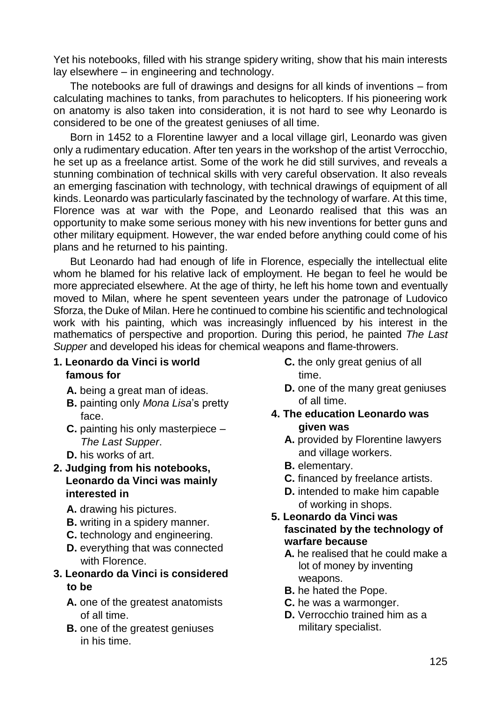Yet his notebooks, filled with his strange spidery writing, show that his main interests lay elsewhere – in engineering and technology.

The notebooks are full of drawings and designs for all kinds of inventions – from calculating machines to tanks, from parachutes to helicopters. If his pioneering work on anatomy is also taken into consideration, it is not hard to see why Leonardo is considered to be one of the greatest geniuses of all time.

Born in 1452 to a Florentine lawyer and a local village girl, Leonardo was given only a rudimentary education. After ten years in the workshop of the artist Verrocchio, he set up as a freelance artist. Some of the work he did still survives, and reveals a stunning combination of technical skills with very careful observation. It also reveals an emerging fascination with technology, with technical drawings of equipment of all kinds. Leonardo was particularly fascinated by the technology of warfare. At this time, Florence was at war with the Pope, and Leonardo realised that this was an opportunity to make some serious money with his new inventions for better guns and other military equipment. However, the war ended before anything could come of his plans and he returned to his painting.

But Leonardo had had enough of life in Florence, especially the intellectual elite whom he blamed for his relative lack of employment. He began to feel he would be more appreciated elsewhere. At the age of thirty, he left his home town and eventually moved to Milan, where he spent seventeen years under the patronage of Ludovico Sforza, the Duke of Milan. Here he continued to combine his scientific and technological work with his painting, which was increasingly influenced by his interest in the mathematics of perspective and proportion. During this period, he painted *The Last Supper* and developed his ideas for chemical weapons and flame-throwers.

## **1. Leonardo da Vinci is world famous for**

- **A.** being a great man of ideas.
- **B.** painting only *Mona Lisa*'s pretty face.
- **C.** painting his only masterpiece *The Last Supper*.
- **D.** his works of art.
- **2. Judging from his notebooks, Leonardo da Vinci was mainly interested in**
	- **A.** drawing his pictures.
	- **B.** writing in a spidery manner.
	- **C.** technology and engineering.
	- **D.** everything that was connected with Florence.
- **3. Leonardo da Vinci is considered to be**
	- **A.** one of the greatest anatomists of all time.
	- **B.** one of the greatest geniuses in his time.
- **C.** the only great genius of all time.
- **D.** one of the many great geniuses of all time.
- **4. The education Leonardo was given was**
	- **A.** provided by Florentine lawyers and village workers.
	- **B.** elementary.
	- **C.** financed by freelance artists.
	- **D.** intended to make him capable of working in shops.
- **5. Leonardo da Vinci was fascinated by the technology of warfare because**
	- **A.** he realised that he could make a lot of money by inventing weapons.
	- **B.** he hated the Pope.
	- **C.** he was a warmonger.
	- **D.** Verrocchio trained him as a military specialist.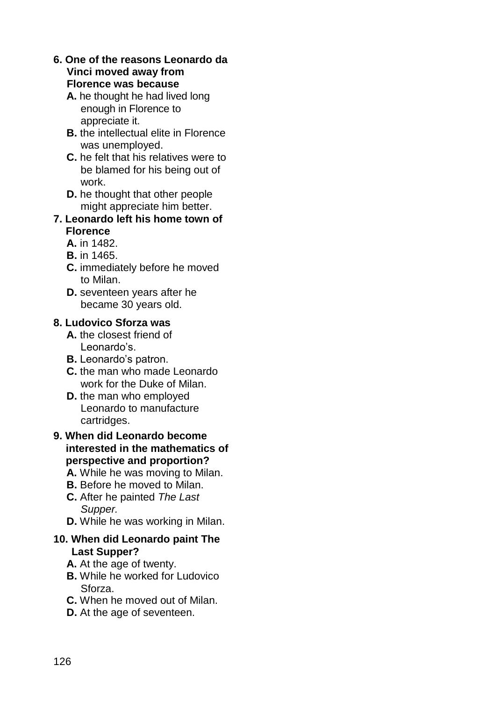- **6. One of the reasons Leonardo da Vinci moved away from Florence was because**
	- **A.** he thought he had lived long enough in Florence to appreciate it.
	- **B.** the intellectual elite in Florence was unemployed.
	- **C.** he felt that his relatives were to be blamed for his being out of work.
	- **D.** he thought that other people might appreciate him better.

## **7. Leonardo left his home town of Florence**

- **A.** in 1482.
- **B.** in 1465.
- **C.** immediately before he moved to Milan.
- **D.** seventeen years after he became 30 years old.

## **8. Ludovico Sforza was**

- **A.** the closest friend of Leonardo's
- **B.** Leonardo's patron.
- **C.** the man who made Leonardo work for the Duke of Milan.
- **D.** the man who employed Leonardo to manufacture cartridges.

## **9. When did Leonardo become interested in the mathematics of perspective and proportion?**

- **A.** While he was moving to Milan.
- **B.** Before he moved to Milan.
- **C.** After he painted *The Last Supper.*
- **D.** While he was working in Milan.

## **10. When did Leonardo paint The Last Supper?**

- **A.** At the age of twenty.
- **B.** While he worked for Ludovico Sforza.
- **C.** When he moved out of Milan.
- **D.** At the age of seventeen.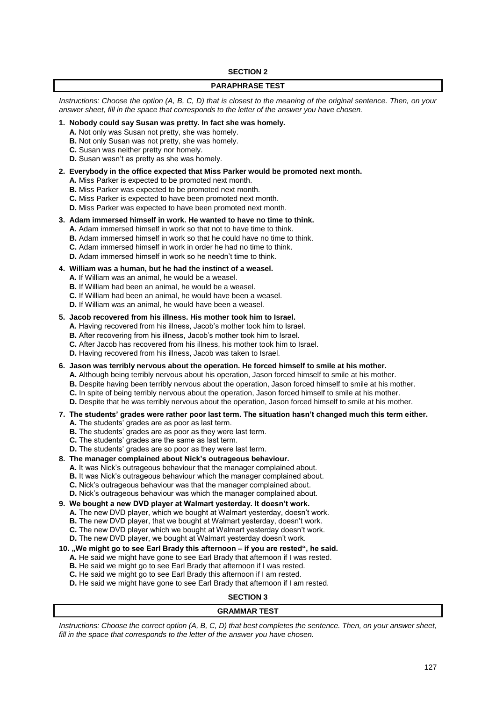## **SECTION 2**

## **PARAPHRASE TEST**

*Instructions: Choose the option (A, B, C, D) that is closest to the meaning of the original sentence. Then, on your answer sheet, fill in the space that corresponds to the letter of the answer you have chosen.*

#### **1. Nobody could say Susan was pretty. In fact she was homely.**

- **A.** Not only was Susan not pretty, she was homely.
- **B.** Not only Susan was not pretty, she was homely.
- **C.** Susan was neither pretty nor homely.
- **D.** Susan wasn't as pretty as she was homely.

## **2. Everybody in the office expected that Miss Parker would be promoted next month.**

- **A.** Miss Parker is expected to be promoted next month.
- **B.** Miss Parker was expected to be promoted next month.
- **C.** Miss Parker is expected to have been promoted next month.
- **D.** Miss Parker was expected to have been promoted next month.
- **3. Adam immersed himself in work. He wanted to have no time to think.**
	- **A.** Adam immersed himself in work so that not to have time to think.
	- **B.** Adam immersed himself in work so that he could have no time to think.
	- **C.** Adam immersed himself in work in order he had no time to think.
	- **D.** Adam immersed himself in work so he needn't time to think.

## **4. William was a human, but he had the instinct of a weasel.**

- **A.** If William was an animal, he would be a weasel.
- **B.** If William had been an animal, he would be a weasel.
- **C.** If William had been an animal, he would have been a weasel.
- **D.** If William was an animal, he would have been a weasel.

## **5. Jacob recovered from his illness. His mother took him to Israel.**

**A.** Having recovered from his illness, Jacob's mother took him to Israel.

- **B.** After recovering from his illness, Jacob's mother took him to Israel.
- **C.** After Jacob has recovered from his illness, his mother took him to Israel.
- **D.** Having recovered from his illness, Jacob was taken to Israel.
- **6. Jason was terribly nervous about the operation. He forced himself to smile at his mother.**
	- **A.** Although being terribly nervous about his operation, Jason forced himself to smile at his mother.
	- **B.** Despite having been terribly nervous about the operation, Jason forced himself to smile at his mother.
	- **C.** In spite of being terribly nervous about the operation, Jason forced himself to smile at his mother.
	- **D.** Despite that he was terribly nervous about the operation, Jason forced himself to smile at his mother.

## **7. The students' grades were rather poor last term. The situation hasn't changed much this term either.**

- **A.** The students' grades are as poor as last term.
- **B.** The students' grades are as poor as they were last term.
- **C.** The students' grades are the same as last term.
- **D.** The students' grades are so poor as they were last term.

#### **8. The manager complained about Nick's outrageous behaviour.**

- **A.** It was Nick's outrageous behaviour that the manager complained about.
- **B.** It was Nick's outrageous behaviour which the manager complained about.
- **C.** Nick's outrageous behaviour was that the manager complained about.
- **D.** Nick's outrageous behaviour was which the manager complained about.

#### **9. We bought a new DVD player at Walmart yesterday. It doesn't work.**

- **A.** The new DVD player, which we bought at Walmart yesterday, doesn't work.
- **B.** The new DVD player, that we bought at Walmart yesterday, doesn't work.
- **C.** The new DVD player which we bought at Walmart yesterday doesn't work.
- **D.** The new DVD player, we bought at Walmart yesterday doesn't work.

### **10. "We might go to see Earl Brady this afternoon – if you are rested", he said.**

- **A.** He said we might have gone to see Earl Brady that afternoon if I was rested.
- **B.** He said we might go to see Earl Brady that afternoon if I was rested.
- **C.** He said we might go to see Earl Brady this afternoon if I am rested.
- **D.** He said we might have gone to see Earl Brady that afternoon if I am rested.

### **GRAMMAR TEST**

*Instructions: Choose the correct option (A, B, C, D) that best completes the sentence. Then, on your answer sheet, fill in the space that corresponds to the letter of the answer you have chosen.*

# **SECTION 3**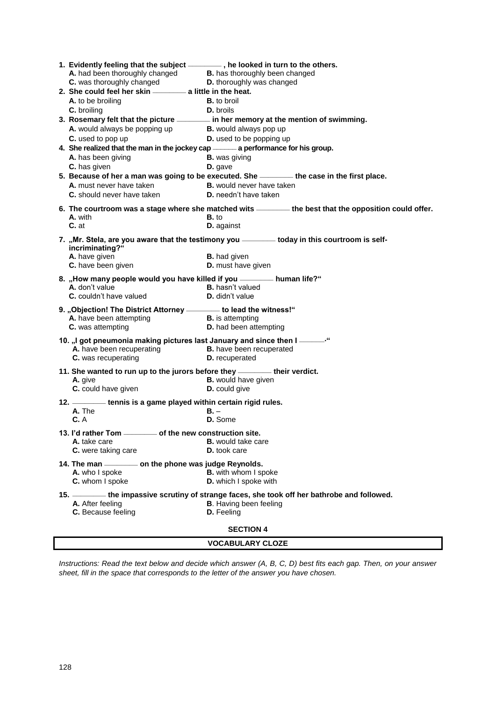|                  | 1. Evidently feeling that the subject _______, he looked in turn to the others.                                                                        |                                                                                                                               |  |  |  |  |
|------------------|--------------------------------------------------------------------------------------------------------------------------------------------------------|-------------------------------------------------------------------------------------------------------------------------------|--|--|--|--|
|                  | <b>A.</b> had been thoroughly changed<br><b>B.</b> has thoroughly been changed<br><b>C.</b> was thoroughly changed<br><b>D.</b> thoroughly was changed |                                                                                                                               |  |  |  |  |
|                  |                                                                                                                                                        |                                                                                                                               |  |  |  |  |
|                  | 2. She could feel her skin _______ a little in the heat.                                                                                               |                                                                                                                               |  |  |  |  |
|                  | A. to be broiling                                                                                                                                      | <b>B.</b> to broil                                                                                                            |  |  |  |  |
|                  | C. broiling                                                                                                                                            | <b>D.</b> broils                                                                                                              |  |  |  |  |
|                  |                                                                                                                                                        | 3. Rosemary felt that the picture _______ in her memory at the mention of swimming.                                           |  |  |  |  |
|                  | A. would always be popping up                                                                                                                          | <b>B.</b> would always pop up                                                                                                 |  |  |  |  |
|                  | C. used to pop up<br>4. She realized that the man in the jockey cap ______ a performance for his group.                                                | D. used to be popping up                                                                                                      |  |  |  |  |
|                  | A. has been giving                                                                                                                                     | <b>B.</b> was giving                                                                                                          |  |  |  |  |
|                  | C. has given                                                                                                                                           | D. gave                                                                                                                       |  |  |  |  |
|                  |                                                                                                                                                        | 5. Because of her a man was going to be executed. She ______ the case in the first place.                                     |  |  |  |  |
|                  | A. must never have taken                                                                                                                               | <b>B.</b> would never have taken                                                                                              |  |  |  |  |
|                  | <b>C.</b> should never have taken <b>D.</b> needn't have taken                                                                                         |                                                                                                                               |  |  |  |  |
|                  |                                                                                                                                                        |                                                                                                                               |  |  |  |  |
|                  |                                                                                                                                                        | 6. The courtroom was a stage where she matched wits _______ the best that the opposition could offer.                         |  |  |  |  |
|                  | A. with<br>$C.$ at                                                                                                                                     | <b>B.</b> to                                                                                                                  |  |  |  |  |
|                  |                                                                                                                                                        | D. against                                                                                                                    |  |  |  |  |
|                  | incriminating?"                                                                                                                                        | 7. "Mr. Stela, are you aware that the testimony you ______ today in this courtroom is self-                                   |  |  |  |  |
|                  | A. have given                                                                                                                                          | <b>B.</b> had given                                                                                                           |  |  |  |  |
|                  | C. have been given                                                                                                                                     | <b>D.</b> must have given                                                                                                     |  |  |  |  |
|                  | 8. "How many people would you have killed if you ______ human life?"                                                                                   |                                                                                                                               |  |  |  |  |
|                  | A. don't value                                                                                                                                         | <b>B.</b> hasn't valued                                                                                                       |  |  |  |  |
|                  | C. couldn't have valued                                                                                                                                | <b>D.</b> didn't value                                                                                                        |  |  |  |  |
|                  | 9. "Objection! The District Attorney ______ to lead the witness!"                                                                                      |                                                                                                                               |  |  |  |  |
|                  | A. have been attempting                                                                                                                                | <b>B.</b> is attempting                                                                                                       |  |  |  |  |
|                  | C. was attempting<br><b>D.</b> had been attempting                                                                                                     |                                                                                                                               |  |  |  |  |
|                  | 10. "I got pneumonia making pictures last January and since then I ______."                                                                            |                                                                                                                               |  |  |  |  |
|                  | A. have been recuperating B. have been recuperated                                                                                                     |                                                                                                                               |  |  |  |  |
|                  | <b>C.</b> was recuperating<br>D. recuperated                                                                                                           |                                                                                                                               |  |  |  |  |
|                  | 11. She wanted to run up to the jurors before they _______ their verdict.                                                                              |                                                                                                                               |  |  |  |  |
|                  | A. give                                                                                                                                                | <b>B.</b> would have given                                                                                                    |  |  |  |  |
|                  | C. could have given                                                                                                                                    | D. could give                                                                                                                 |  |  |  |  |
|                  | 12. ______ tennis is a game played within certain rigid rules.                                                                                         |                                                                                                                               |  |  |  |  |
|                  | A. The                                                                                                                                                 | $B -$                                                                                                                         |  |  |  |  |
|                  | C. A                                                                                                                                                   | D. Some                                                                                                                       |  |  |  |  |
|                  | 13. I'd rather Tom ________ of the new construction site.                                                                                              |                                                                                                                               |  |  |  |  |
|                  | A. take care                                                                                                                                           | <b>B.</b> would take care                                                                                                     |  |  |  |  |
|                  | <b>C.</b> were taking care                                                                                                                             | <b>D.</b> took care                                                                                                           |  |  |  |  |
|                  | 14. The man ________ on the phone was judge Reynolds.                                                                                                  |                                                                                                                               |  |  |  |  |
|                  | A. who I spoke                                                                                                                                         | <b>B.</b> with whom I spoke                                                                                                   |  |  |  |  |
|                  | C. whom I spoke                                                                                                                                        | D. which I spoke with                                                                                                         |  |  |  |  |
|                  |                                                                                                                                                        |                                                                                                                               |  |  |  |  |
|                  | A. After feeling                                                                                                                                       | 15. _______ the impassive scrutiny of strange faces, she took off her bathrobe and followed.<br><b>B.</b> Having been feeling |  |  |  |  |
|                  | C. Because feeling                                                                                                                                     | D. Feeling                                                                                                                    |  |  |  |  |
|                  |                                                                                                                                                        |                                                                                                                               |  |  |  |  |
| <b>SECTION 4</b> |                                                                                                                                                        |                                                                                                                               |  |  |  |  |
|                  | <b>VOCABULARY CLOZE</b>                                                                                                                                |                                                                                                                               |  |  |  |  |

*Instructions: Read the text below and decide which answer (A, B, C, D) best fits each gap. Then, on your answer sheet, fill in the space that corresponds to the letter of the answer you have chosen.*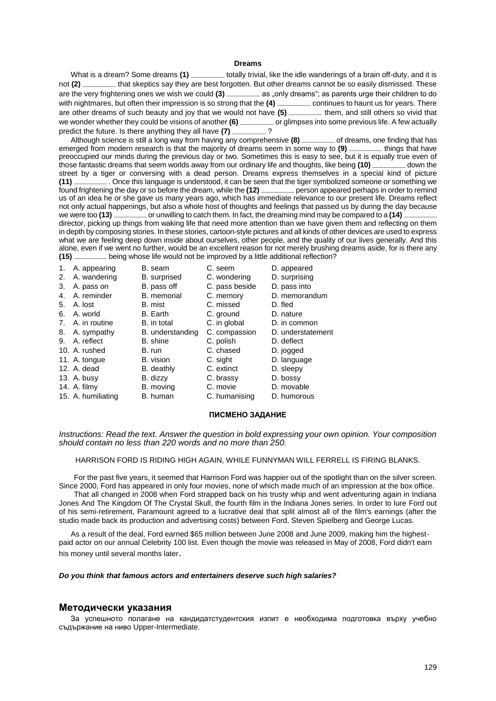### **Dreams**

| What is a dream? Some dreams (1) _________ totally trivial, like the idle wanderings of a brain off-duty, and it is   |  |
|-----------------------------------------------------------------------------------------------------------------------|--|
| not (2) _________ that skeptics say they are best forgotten. But other dreams cannot be so easily dismissed. These    |  |
| are the very frightening ones we wish we could (3) _________ as "only dreams"; as parents urge their children to do   |  |
| with nightmares, but often their impression is so strong that the (4) ________ continues to haunt us for years. There |  |
| are other dreams of such beauty and joy that we would not have (5) _______ them, and still others so vivid that       |  |
| we wonder whether they could be visions of another $(6)$ ________ or glimpses into some previous life. A few actually |  |
| predict the future. Is there anything they all have (7) ________?                                                     |  |

Although science is still a long way from having any comprehensive **(8) \_\_\_\_\_\_\_\_** of dreams, one finding that has emerged from modern research is that the majority of dreams seem in some way to **(9) \_\_\_\_\_\_\_\_** things that have preoccupied our minds during the previous day or two. Sometimes this is easy to see, but it is equally true even of those fantastic dreams that seem worlds away from our ordinary life and thoughts, like being **(10) \_\_\_\_\_\_\_\_** down the street by a tiger or conversing with a dead person. Dreams express themselves in a special kind of picture **(11) \_\_\_\_\_\_\_\_** . Once this language is understood, it can be seen that the tiger symbolized someone or something we found frightening the day or so before the dream, while the (12) \_ us of an idea he or she gave us many years ago, which has immediate relevance to our present life. Dreams reflect not only actual happenings, but also a whole host of thoughts and feelings that passed us by during the day because we were too **(13) \_\_\_\_\_\_\_\_** or unwilling to catch them. In fact, the dreaming mind may be compared to a **(14) \_\_\_\_\_\_\_\_**  director, picking up things from waking life that need more attention than we have given them and reflecting on them in depth by composing stories. In these stories, cartoon-style pictures and all kinds of other devices are used to express what we are feeling deep down inside about ourselves, other people, and the quality of our lives generally. And this alone, even if we went no further, would be an excellent reason for not merely brushing dreams aside, for is there any

**(15) \_\_\_\_\_\_\_\_** being whose life would not be improved by a little additional reflection?

| 1. | A. appearing       | B. seam          | C. seem        | D. appeared       |
|----|--------------------|------------------|----------------|-------------------|
| 2. | A. wandering       | B. surprised     | C. wondering   | D. surprising     |
| 3. | A. pass on         | B. pass off      | C. pass beside | D. pass into      |
| 4. | A. reminder        | B. memorial      | C. memory      | D. memorandum     |
| 5. | A. lost            | B. mist          | C. missed      | D. fled           |
| 6. | A. world           | B. Earth         | C. ground      | D. nature         |
| 7. | A. in routine      | B. in total      | C. in global   | D. in common      |
| 8. | A. sympathy        | B. understanding | C. compassion  | D. understatement |
| 9. | A. reflect         | B. shine         | C. polish      | D. deflect        |
|    | 10. A. rushed      | B. run           | C. chased      | D. jogged         |
|    | 11. A. tongue      | B. vision        | C. sight       | D. language       |
|    | 12. A. dead        | B. deathly       | C. extinct     | D. sleepy         |
|    | 13. A. busy        | B. dizzy         | C. brassy      | D. bossy          |
|    | 14. A. filmy       | B. moving        | C. movie       | D. movable        |
|    | 15. A. humiliating | B. human         | C. humanising  | D. humorous       |

### **ПИСМЕНО ЗАДАНИЕ**

*Instructions: Read the text. Answer the question in bold expressing your own opinion. Your composition should contain no less than 220 words and no more than 250.*

#### HARRISON FORD IS RIDING HIGH AGAIN, WHILE FUNNYMAN WILL FERRELL IS FIRING BLANKS.

For the past five years, it seemed that Harrison Ford was happier out of the spotlight than on the silver screen. Since 2000, Ford has appeared in only four movies, none of which made much of an impression at the box office.

That all changed in 2008 when Ford strapped back on his trusty whip and went adventuring again in Indiana Jones And The Kingdom Of The Crystal Skull, the fourth film in the Indiana Jones series. In order to lure Ford out of his semi-retirement, Paramount agreed to a lucrative deal that split almost all of the film's earnings (after the studio made back its production and advertising costs) between Ford, Steven Spielberg and George Lucas.

As a result of the deal, Ford earned \$65 million between June 2008 and June 2009, making him the highestpaid actor on our annual Celebrity 100 list. Even though the movie was released in May of 2008, Ford didn't earn his money until several months later.

#### *Do you think that famous actors and entertainers deserve such high salaries?*

## **Методически указания**

За успешното полагане на кандидатстудентския изпит е необходима подготовка върху учебно съдържание на ниво Upper-Intermediate.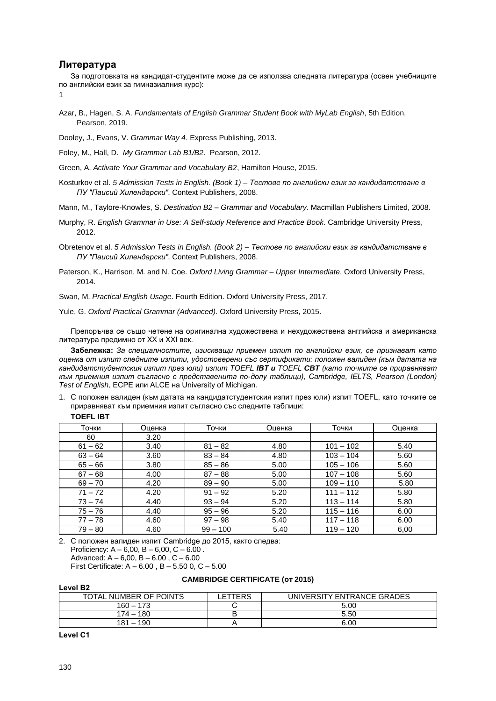## **Литература**

За подготовката на кандидат-студентите може да се използва следната литература (освен учебниците по английски език за гимназиалния курс):

1

- Azar, B., Hagen, S. A. *Fundamentals of English Grammar Student Book with MyLab English*, 5th Edition, Pearson, 2019.
- Dooley, J., Evans, V. *Grammar Way 4*. Express Publishing, 2013.
- Foley, M., Hall, D. *My Grammar Lab B1/B2*. Pearson, 2012.
- Green, A. *Activate Your Grammar and Vocabulary B2*, Hamilton House, 2015.
- Kosturkov et al. *5 Admission Tests in English. (Book 1) – Тестове по английски език за кандидатстване в ПУ "Паисий Хилендарски"*. Context Publishers, 2008.
- Mann, M., Taylore-Knowles, S. *Destination B2 – Grammar and Vocabulary*. Macmillan Publishers Limited, 2008.
- Murphy, R. *English Grammar in Use: A Self-study Reference and Practice Book*. Cambridge University Press, 2012.
- Obretenov et al. *5 Admission Tests in English. (Book 2) – Тестове по английски език за кандидатстване в ПУ "Паисий Хилендарски"*. Context Publishers, 2008.
- Paterson, K., Harrison, M. and N. Coe. *Oxford Living Grammar – Upper Intermediate*. Oxford University Press, 2014.

Swan, M. *Practical English Usage*. Fourth Edition. Oxford University Press, 2017.

Yule, G. *Oxford Practical Grammar (Advanced)*. Oxford University Press, 2015.

Препоръчва се също четене на оригинална художествена и нехудожествена английска и американска литература предимно от XX и XXI век.

**Забележка:** *За специалностите, изискващи приемен изпит по английски език, се признават като оценка от изпит следните изпити, удостоверени със сертификати: положен валиден (към датата на кандидатстудентския изпит през юли) изпит TOEFL IBT и TOEFL CBT (като точките се приравняват към приемния изпит съгласно с представенита по-долу таблици), Cambridge, IELTS, Pearson (London) Test of English,* ECPE или ALCE на University of Michigan*.*

1. С положен валиден (към датата на кандидатстудентския изпит през юли) изпит TOEFL, като точките се приравняват към приемния изпит съгласно със следните таблици:

#### **TOEFL IBT**

| Точки     | Оценка | Точки      | Оценка | Точки       | Оценка |
|-----------|--------|------------|--------|-------------|--------|
| 60        | 3.20   |            |        |             |        |
| $61 - 62$ | 3.40   | $81 - 82$  | 4.80   | $101 - 102$ | 5.40   |
| $63 - 64$ | 3.60   | $83 - 84$  | 4.80   | $103 - 104$ | 5.60   |
| $65 - 66$ | 3.80   | $85 - 86$  | 5.00   | $105 - 106$ | 5.60   |
| $67 - 68$ | 4.00   | $87 - 88$  | 5.00   | $107 - 108$ | 5.60   |
| $69 - 70$ | 4.20   | $89 - 90$  | 5.00   | $109 - 110$ | 5.80   |
| $71 - 72$ | 4.20   | $91 - 92$  | 5.20   | $111 - 112$ | 5.80   |
| $73 - 74$ | 4.40   | $93 - 94$  | 5.20   | $113 - 114$ | 5.80   |
| $75 - 76$ | 4.40   | $95 - 96$  | 5.20   | $115 - 116$ | 6.00   |
| $77 - 78$ | 4.60   | $97 - 98$  | 5.40   | $117 - 118$ | 6.00   |
| $79 - 80$ | 4.60   | $99 - 100$ | 5.40   | $119 - 120$ | 6,00   |

2. С положен валиден изпит Cambridge до 2015, както следва: Proficiency: A – 6,00, B – 6,00, C – 6.00 . Advanced: A – 6,00, B – 6.00 , C – 6.00 First Certificate: A – 6.00 , B – 5.50 0, C – 5.00

#### **CAMBRIDGE CERTIFICATE (от 2015)**

| ----- <i>-</i> -       |         |                            |  |  |  |
|------------------------|---------|----------------------------|--|--|--|
| TOTAL NUMBER OF POINTS | ETTERS. | UNIVERSITY ENTRANCE GRADES |  |  |  |
| $160 - 173$            |         | 5.00                       |  |  |  |
| $174 - 180$            |         | 5.50                       |  |  |  |
| 190<br>$181 - 1.$      |         | 6.00                       |  |  |  |

**Level С1** 

Level **B2**